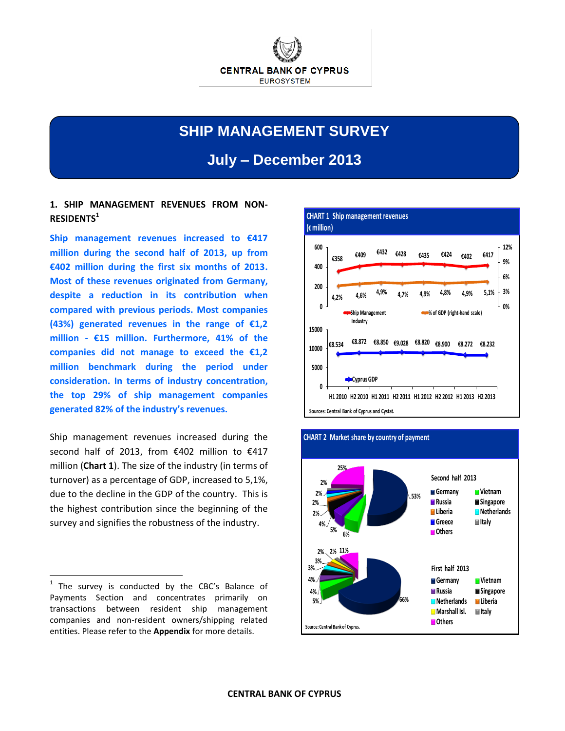

# **SHIP MANAGEMENT SURVEY**

**July – December 2013**

# **1. SHIP MANAGEMENT REVENUES FROM NON-RESIDENTS<sup>1</sup>**

**Ship management revenues increased to €417 million during the second half of 2013, up from €402 million during the first six months of 2013. Most of these revenues originated from Germany, despite a reduction in its contribution when compared with previous periods. Most companies (43%) generated revenues in the range of €1,2 million - €15 million. Furthermore, 41% of the companies did not manage to exceed the €1,2 million benchmark during the period under consideration. In terms of industry concentration, the top 29% of ship management companies generated 82% of the industry's revenues.**

Ship management revenues increased during the second half of 2013, from €402 million to €417 million (**Chart 1**). The size of the industry (in terms of turnover) as a percentage of GDP, increased to 5,1%, due to the decline in the GDP of the country. This is the highest contribution since the beginning of the survey and signifies the robustness of the industry.

 $\overline{a}$ 





<sup>1</sup> The survey is conducted by the CBC's Balance of Payments Section and concentrates primarily on transactions between resident ship management companies and non-resident owners/shipping related entities. Please refer to the **Appendix** for more details.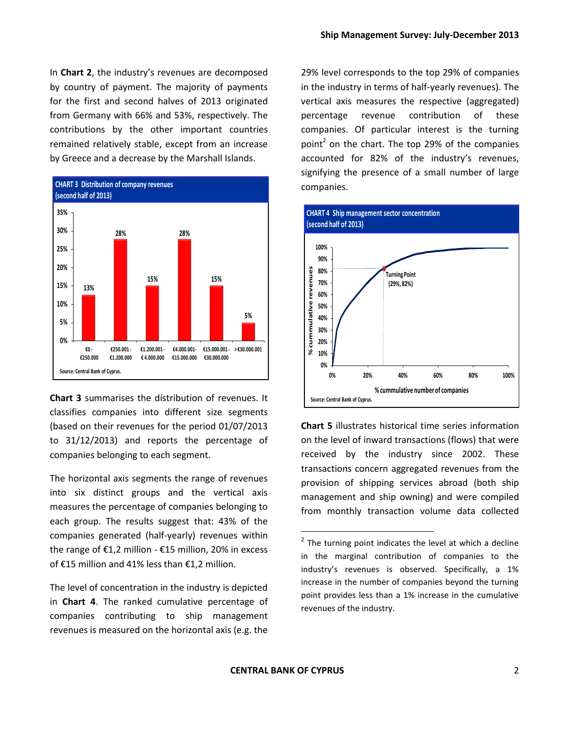In **Chart 2**, the industry's revenues are decomposed by country of payment. The majority of payments for the first and second halves of 2013 originated from Germany with 66% and 53%, respectively. The contributions by the other important countries remained relatively stable, except from an increase by Greece and a decrease by the Marshall Islands.



**Chart 3** summarises the distribution of revenues. It classifies companies into different size segments (based on their revenues for the period 01/07/2013 to 31/12/2013) and reports the percentage of companies belonging to each segment.

The horizontal axis segments the range of revenues into six distinct groups and the vertical axis measures the percentage of companies belonging to each group. The results suggest that: 43% of the companies generated (half-yearly) revenues within the range of €1,2 million - €15 million, 20% in excess of €15 million and 41% less than €1,2 million.

The level of concentration in the industry is depicted in **Chart 4**. The ranked cumulative percentage of companies contributing to ship management revenues is measured on the horizontal axis (e.g. the 29% level corresponds to the top 29% of companies in the industry in terms of half-yearly revenues). The vertical axis measures the respective (aggregated) percentage revenue contribution of these companies. Of particular interest is the turning point<sup>2</sup> on the chart. The top 29% of the companies accounted for 82% of the industry's revenues, signifying the presence of a small number of large companies.



**Chart 5** illustrates historical time series information on the level of inward transactions (flows) that were received by the industry since 2002. These transactions concern aggregated revenues from the provision of shipping services abroad (both ship management and ship owning) and were compiled from monthly transaction volume data collected

 $\overline{a}$ 

 $2$  The turning point indicates the level at which a decline in the marginal contribution of companies to the industry's revenues is observed. Specifically, a 1% increase in the number of companies beyond the turning point provides less than a 1% increase in the cumulative revenues of the industry.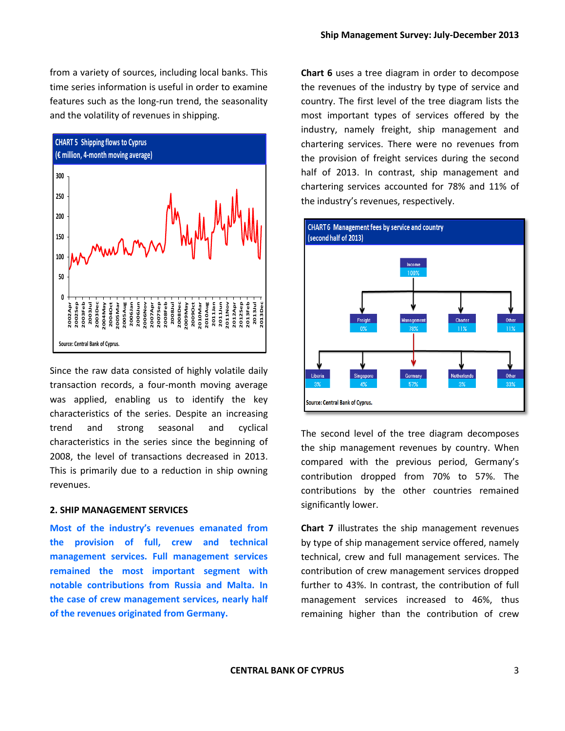from a variety of sources, including local banks. This time series information is useful in order to examine features such as the long-run trend, the seasonality and the volatility of revenues in shipping.



Since the raw data consisted of highly volatile daily transaction records, a four-month moving average was applied, enabling us to identify the key characteristics of the series. Despite an increasing trend and strong seasonal and cyclical characteristics in the series since the beginning of 2008, the level of transactions decreased in 2013. This is primarily due to a reduction in ship owning revenues.

## **2. SHIP MANAGEMENT SERVICES**

**Most of the industry's revenues emanated from the provision of full, crew and technical management services. Full management services remained the most important segment with notable contributions from Russia and Malta. In the case of crew management services, nearly half of the revenues originated from Germany.**

**Chart 6** uses a tree diagram in order to decompose the revenues of the industry by type of service and country. The first level of the tree diagram lists the most important types of services offered by the industry, namely freight, ship management and chartering services. There were no revenues from the provision of freight services during the second half of 2013. In contrast, ship management and chartering services accounted for 78% and 11% of the industry's revenues, respectively.



The second level of the tree diagram decomposes the ship management revenues by country. When compared with the previous period, Germany's contribution dropped from 70% to 57%. The contributions by the other countries remained significantly lower.

**Chart 7** illustrates the ship management revenues by type of ship management service offered, namely technical, crew and full management services. The contribution of crew management services dropped further to 43%. In contrast, the contribution of full management services increased to 46%, thus remaining higher than the contribution of crew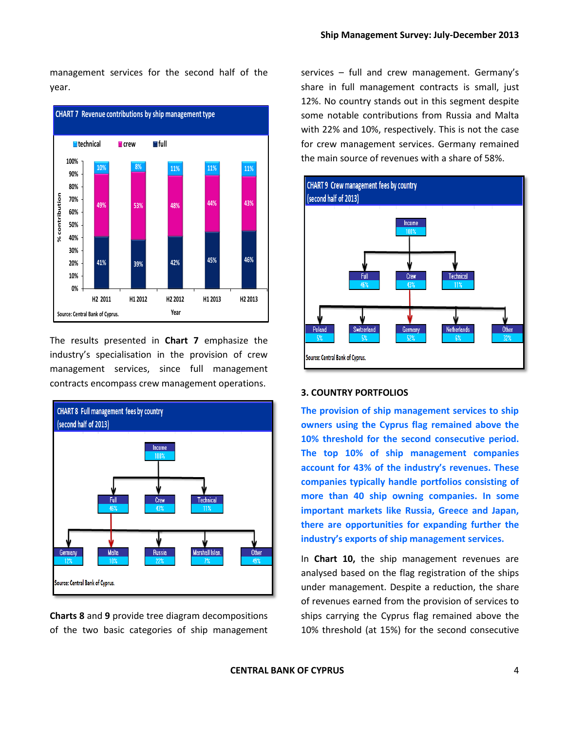management services for the second half of the year.



The results presented in **Chart 7** emphasize the industry's specialisation in the provision of crew management services, since full management contracts encompass crew management operations.



**Charts 8** and **9** provide tree diagram decompositions of the two basic categories of ship management services – full and crew management. Germany's share in full management contracts is small, just 12%. No country stands out in this segment despite some notable contributions from Russia and Malta with 22% and 10%, respectively. This is not the case for crew management services. Germany remained the main source of revenues with a share of 58%.



# **3. COUNTRY PORTFOLIOS**

**The provision of ship management services to ship owners using the Cyprus flag remained above the 10% threshold for the second consecutive period. The top 10% of ship management companies account for 43% of the industry's revenues. These companies typically handle portfolios consisting of more than 40 ship owning companies. In some important markets like Russia, Greece and Japan, there are opportunities for expanding further the industry's exports of ship management services.**

In **Chart 10,** the ship management revenues are analysed based on the flag registration of the ships under management. Despite a reduction, the share of revenues earned from the provision of services to ships carrying the Cyprus flag remained above the 10% threshold (at 15%) for the second consecutive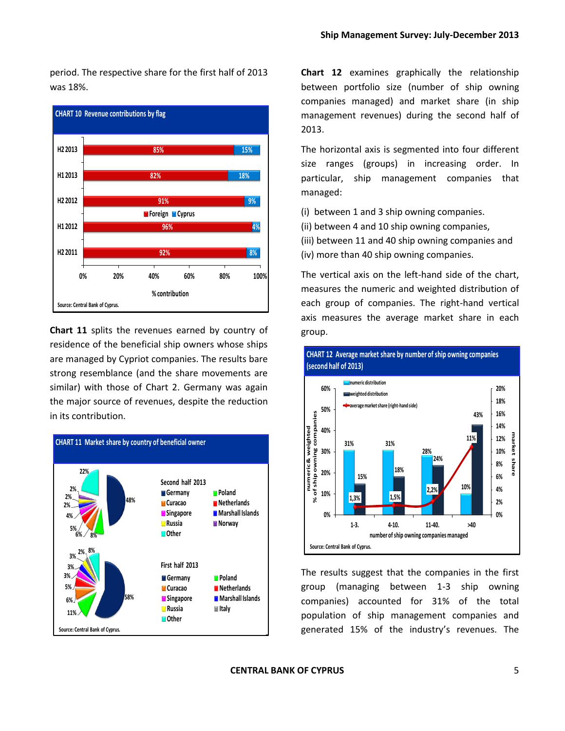period. The respective share for the first half of 2013 was 18%.



**Chart 11** splits the revenues earned by country of residence of the beneficial ship owners whose ships are managed by Cypriot companies. The results bare strong resemblance (and the share movements are similar) with those of Chart 2. Germany was again the major source of revenues, despite the reduction in its contribution.



**Chart 12** examines graphically the relationship between portfolio size (number of ship owning companies managed) and market share (in ship management revenues) during the second half of 2013.

The horizontal axis is segmented into four different size ranges (groups) in increasing order. In particular, ship management companies that managed:

(i) between 1 and 3 ship owning companies.

(ii) between 4 and 10 ship owning companies,

(iii) between 11 and 40 ship owning companies and

(iv) more than 40 ship owning companies.

The vertical axis on the left-hand side of the chart, measures the numeric and weighted distribution of each group of companies. The right-hand vertical axis measures the average market share in each group.



The results suggest that the companies in the first group (managing between 1-3 ship owning companies) accounted for 31% of the total population of ship management companies and generated 15% of the industry's revenues. The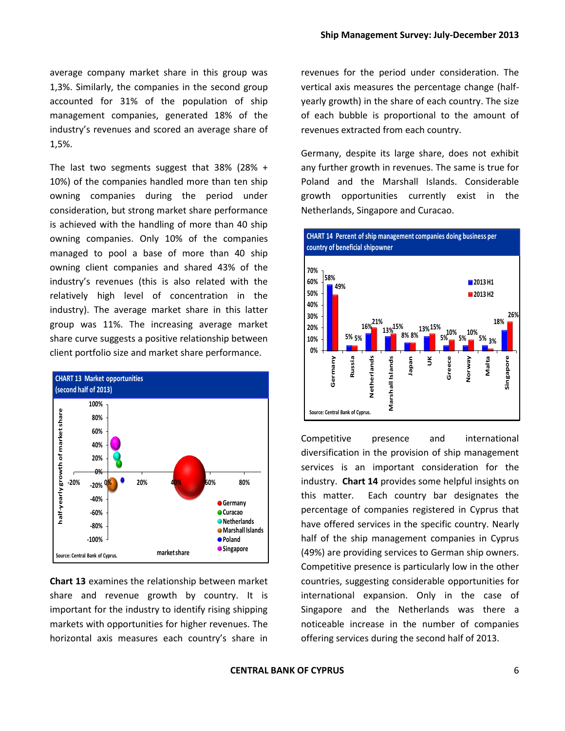average company market share in this group was 1,3%. Similarly, the companies in the second group accounted for 31% of the population of ship management companies, generated 18% of the industry's revenues and scored an average share of 1,5%.

The last two segments suggest that 38% (28% + 10%) of the companies handled more than ten ship owning companies during the period under consideration, but strong market share performance is achieved with the handling of more than 40 ship owning companies. Only 10% of the companies managed to pool a base of more than 40 ship owning client companies and shared 43% of the industry's revenues (this is also related with the relatively high level of concentration in the industry). The average market share in this latter group was 11%. The increasing average market share curve suggests a positive relationship between client portfolio size and market share performance.



**Chart 13** examines the relationship between market share and revenue growth by country. It is important for the industry to identify rising shipping markets with opportunities for higher revenues. The horizontal axis measures each country's share in

revenues for the period under consideration. The vertical axis measures the percentage change (halfyearly growth) in the share of each country. The size of each bubble is proportional to the amount of revenues extracted from each country.

Germany, despite its large share, does not exhibit any further growth in revenues. The same is true for Poland and the Marshall Islands. Considerable growth opportunities currently exist in the Netherlands, Singapore and Curacao.



Competitive presence and international diversification in the provision of ship management services is an important consideration for the industry. **Chart 14** provides some helpful insights on this matter. Each country bar designates the percentage of companies registered in Cyprus that have offered services in the specific country. Nearly half of the ship management companies in Cyprus (49%) are providing services to German ship owners. Competitive presence is particularly low in the other countries, suggesting considerable opportunities for international expansion. Only in the case of Singapore and the Netherlands was there a noticeable increase in the number of companies offering services during the second half of 2013.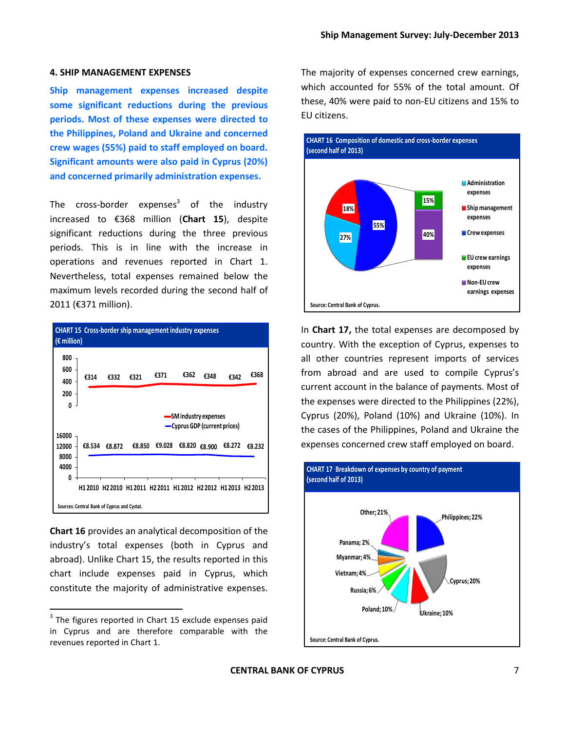## **4. SHIP MANAGEMENT EXPENSES**

**Ship management expenses increased despite some significant reductions during the previous periods. Most of these expenses were directed to the Philippines, Poland and Ukraine and concerned crew wages (55%) paid to staff employed on board. Significant amounts were also paid in Cyprus (20%) and concerned primarily administration expenses.**

The cross-border expenses<sup>3</sup> of the industry increased to €368 million (**Chart 15**), despite significant reductions during the three previous periods. This is in line with the increase in operations and revenues reported in Chart 1. Nevertheless, total expenses remained below the maximum levels recorded during the second half of 2011 (€371 million).



**Chart 16** provides an analytical decomposition of the industry's total expenses (both in Cyprus and abroad). Unlike Chart 15, the results reported in this chart include expenses paid in Cyprus, which constitute the majority of administrative expenses.

 $\overline{\phantom{a}}$ 

The majority of expenses concerned crew earnings, which accounted for 55% of the total amount. Of these, 40% were paid to non-EU citizens and 15% to EU citizens.



In **Chart 17,** the total expenses are decomposed by country. With the exception of Cyprus, expenses to all other countries represent imports of services from abroad and are used to compile Cyprus's current account in the balance of payments. Most of the expenses were directed to the Philippines (22%), Cyprus (20%), Poland (10%) and Ukraine (10%). In the cases of the Philippines, Poland and Ukraine the expenses concerned crew staff employed on board.



 $3$  The figures reported in Chart 15 exclude expenses paid in Cyprus and are therefore comparable with the revenues reported in Chart 1.